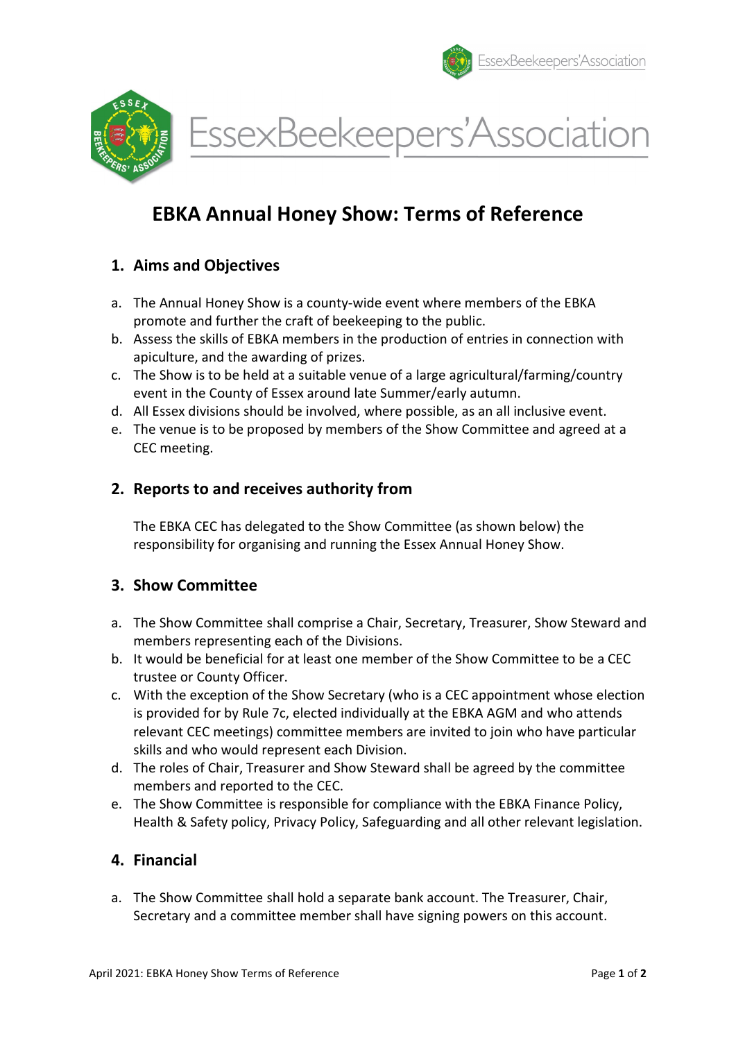

EssexBeekeepers'Association

# EBKA Annual Honey Show: Terms of Reference

# 1. Aims and Objectives

- a. The Annual Honey Show is a county-wide event where members of the EBKA promote and further the craft of beekeeping to the public.
- b. Assess the skills of EBKA members in the production of entries in connection with apiculture, and the awarding of prizes.
- c. The Show is to be held at a suitable venue of a large agricultural/farming/country event in the County of Essex around late Summer/early autumn.
- d. All Essex divisions should be involved, where possible, as an all inclusive event.
- e. The venue is to be proposed by members of the Show Committee and agreed at a CEC meeting.

### 2. Reports to and receives authority from

The EBKA CEC has delegated to the Show Committee (as shown below) the responsibility for organising and running the Essex Annual Honey Show.

# 3. Show Committee

- a. The Show Committee shall comprise a Chair, Secretary, Treasurer, Show Steward and members representing each of the Divisions.
- b. It would be beneficial for at least one member of the Show Committee to be a CEC trustee or County Officer.
- c. With the exception of the Show Secretary (who is a CEC appointment whose election is provided for by Rule 7c, elected individually at the EBKA AGM and who attends relevant CEC meetings) committee members are invited to join who have particular skills and who would represent each Division.
- d. The roles of Chair, Treasurer and Show Steward shall be agreed by the committee members and reported to the CEC.
- e. The Show Committee is responsible for compliance with the EBKA Finance Policy, Health & Safety policy, Privacy Policy, Safeguarding and all other relevant legislation.

# 4. Financial

a. The Show Committee shall hold a separate bank account. The Treasurer, Chair, Secretary and a committee member shall have signing powers on this account.